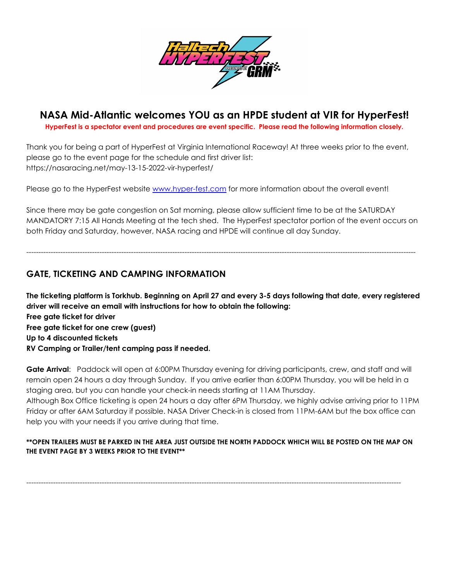

# **NASA Mid-Atlantic welcomes YOU as an HPDE student at VIR for HyperFest!**

**HyperFest is a spectator event and procedures are event specific. Please read the following information closely.**

Thank you for being a part of HyperFest at Virginia International Raceway! At three weeks prior to the event, please go to the event page for the schedule and first driver list: https://nasaracing.net/may-13-15-2022-vir-hyperfest/

Please go to the HyperFest website [www.hyper-fest.com](http://www.hyper-fest.com) for more information about the overall event!

Since there may be gate congestion on Sat morning, please allow sufficient time to be at the SATURDAY MANDATORY 7:15 All Hands Meeting at the tech shed. The HyperFest spectator portion of the event occurs on both Friday and Saturday, however, NASA racing and HPDE will continue all day Sunday.

----------------------------------------------------------------------------------------------------------------------------------------------------------------

## **GATE, TICKETING AND CAMPING INFORMATION**

The ticketing platform is Torkhub. Beginning on April 27 and every 3-5 days following that date, every registered **driver will receive an email with instructions for how to obtain the following: Free gate ticket for driver Free gate ticket for one crew (guest) Up to 4 discounted tickets RV Camping or Trailer/tent camping pass if needed.**

**Gate Arrival**: Paddock will open at 6:00PM Thursday evening for driving participants, crew, and staff and will remain open 24 hours a day through Sunday. If you arrive earlier than 6:00PM Thursday, you will be held in a staging area, but you can handle your check-in needs starting at 11AM Thursday.

Although Box Office ticketing is open 24 hours a day after 6PM Thursday, we highly advise arriving prior to 11PM Friday or after 6AM Saturday if possible. NASA Driver Check-in is closed from 11PM-6AM but the box office can help you with your needs if you arrive during that time.

### **\*\*OPEN TRAILERS MUST BE PARKED IN THE AREA JUST OUTSIDE THE NORTH PADDOCK WHICH WILL BE POSTED ON THE MAP ON THE EVENT PAGE BY 3 WEEKS PRIOR TO THE EVENT\*\***

----------------------------------------------------------------------------------------------------------------------------------------------------------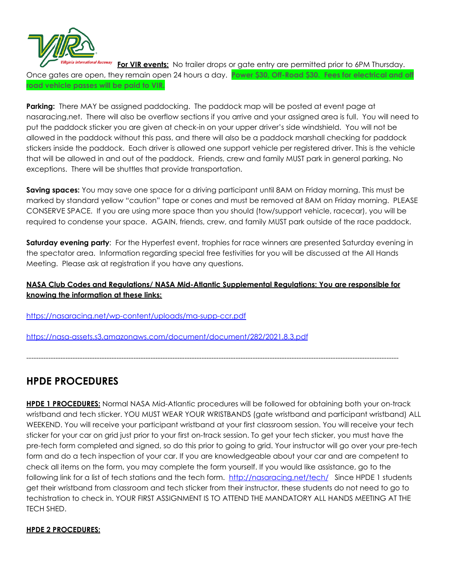

**For VIR events:** No trailer drops or gate entry are permitted prior to 6PM Thursday. Once gates are open, they remain open 24 hours a day. **Power \$30, Off-Road \$30. Fees for electrical and off road vehicle passes will be paid to VIR.**

**Parking:** There MAY be assigned paddocking. The paddock map will be posted at event page at nasaracing.net. There will also be overflow sections if you arrive and your assigned area is full. You will need to put the paddock sticker you are given at check-in on your upper driver's side windshield. You will not be allowed in the paddock without this pass, and there will also be a paddock marshall checking for paddock stickers inside the paddock. Each driver is allowed one support vehicle per registered driver. This is the vehicle that will be allowed in and out of the paddock. Friends, crew and family MUST park in general parking. No exceptions. There will be shuttles that provide transportation.

**Saving spaces:** You may save one space for a driving participant until 8AM on Friday morning. This must be marked by standard yellow "caution" tape or cones and must be removed at 8AM on Friday morning. PLEASE CONSERVE SPACE. If you are using more space than you should (tow/support vehicle, racecar), you will be required to condense your space. AGAIN, friends, crew, and family MUST park outside of the race paddock.

**Saturday evening party**: For the Hyperfest event, trophies for race winners are presented Saturday evening in the spectator area. Information regarding special free festivities for you will be discussed at the All Hands Meeting. Please ask at registration if you have any questions.

## **NASA Club Codes and Regulations/ NASA Mid-Atlantic Supplemental Regulations: You are responsible for knowing the information at these links:**

---------------------------------------------------------------------------------------------------------------------------------------------------------

<https://nasaracing.net/wp-content/uploads/ma-supp-ccr.pdf>

<https://nasa-assets.s3.amazonaws.com/document/document/282/2021.8.3.pdf>

## **HPDE PROCEDURES**

**HPDE 1 PROCEDURES:** Normal NASA Mid-Atlantic procedures will be followed for obtaining both your on-track wristband and tech sticker. YOU MUST WEAR YOUR WRISTBANDS (gate wristband and participant wristband) ALL WEEKEND. You will receive your participant wristband at your first classroom session. You will receive your tech sticker for your car on grid just prior to your first on-track session. To get your tech sticker, you must have the pre-tech form completed and signed, so do this prior to going to grid. Your instructor will go over your pre-tech form and do a tech inspection of your car. If you are knowledgeable about your car and are competent to check all items on the form, you may complete the form yourself. If you would like assistance, go to the following link for a list of tech stations and the tech form. <http://nasaracing.net/tech/> Since HPDE 1 students get their wristband from classroom and tech sticker from their instructor, these students do not need to go to techistration to check in. YOUR FIRST ASSIGNMENT IS TO ATTEND THE MANDATORY ALL HANDS MEETING AT THE TECH SHED.

### **HPDE 2 PROCEDURES:**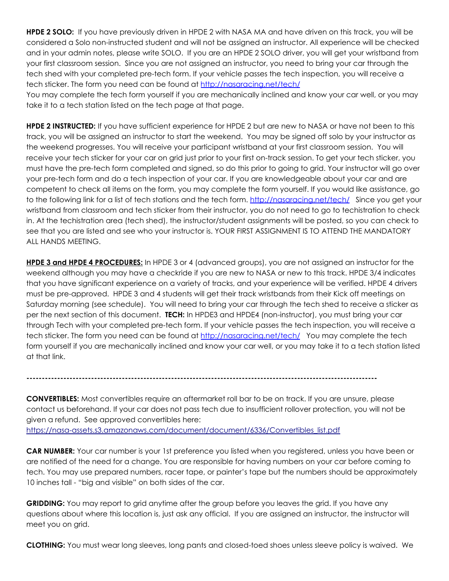**HPDE 2 SOLO:** If you have previously driven in HPDE 2 with NASA MA and have driven on this track, you will be considered a Solo non-instructed student and will not be assigned an instructor. All experience will be checked and in your admin notes, please write SOLO. If you are an HPDE 2 SOLO driver, you will get your wristband from your first classroom session. Since you are not assigned an instructor, you need to bring your car through the tech shed with your completed pre-tech form. If your vehicle passes the tech inspection, you will receive a tech sticker. The form you need can be found at <http://nasaracing.net/tech/>

You may complete the tech form yourself if you are mechanically inclined and know your car well, or you may take it to a tech station listed on the tech page at that page.

**HPDE 2 INSTRUCTED:** If you have sufficient experience for HPDE 2 but are new to NASA or have not been to this track, you will be assigned an instructor to start the weekend. You may be signed off solo by your instructor as the weekend progresses. You will receive your participant wristband at your first classroom session. You will receive your tech sticker for your car on grid just prior to your first on-track session. To get your tech sticker, you must have the pre-tech form completed and signed, so do this prior to going to grid. Your instructor will go over your pre-tech form and do a tech inspection of your car. If you are knowledgeable about your car and are competent to check all items on the form, you may complete the form yourself. If you would like assistance, go to the following link for a list of tech stations and the tech form. <http://nasaracing.net/tech/> Since you get your wristband from classroom and tech sticker from their instructor, you do not need to go to techistration to check in. At the techistration area (tech shed), the instructor/student assignments will be posted, so you can check to see that you are listed and see who your instructor is. YOUR FIRST ASSIGNMENT IS TO ATTEND THE MANDATORY ALL HANDS MEETING.

**HPDE 3 and HPDE 4 PROCEDURES:** In HPDE 3 or 4 (advanced groups), you are not assigned an instructor for the weekend although you may have a checkride if you are new to NASA or new to this track. HPDE 3/4 indicates that you have significant experience on a variety of tracks, and your experience will be verified. HPDE 4 drivers must be pre-approved. HPDE 3 and 4 students will get their track wristbands from their Kick off meetings on Saturday morning (see schedule). You will need to bring your car through the tech shed to receive a sticker as per the next section of this document. **TECH:** In HPDE3 and HPDE4 (non-instructor), you must bring your car through Tech with your completed pre-tech form. If your vehicle passes the tech inspection, you will receive a tech sticker. The form you need can be found at <http://nasaracing.net/tech/> You may complete the tech form yourself if you are mechanically inclined and know your car well, or you may take it to a tech station listed at that link.

**------------------------------------------------------------------------------------------------------------------**

**CONVERTIBLES:** Most convertibles require an aftermarket roll bar to be on track. If you are unsure, please contact us beforehand. If your car does not pass tech due to insufficient rollover protection, you will not be given a refund. See approved convertibles here: [https://nasa-assets.s3.amazonaws.com/document/document/6336/Convertibles\\_list.pdf](https://nasa-assets.s3.amazonaws.com/document/document/6336/Convertibles_list.pdf)

**CAR NUMBER:** Your car number is your 1st preference you listed when you registered, unless you have been or are notified of the need for a change. You are responsible for having numbers on your car before coming to tech. You may use prepared numbers, racer tape, or painter's tape but the numbers should be approximately 10 inches tall - "big and visible" on both sides of the car.

**GRIDDING:** You may report to grid anytime after the group before you leaves the grid. If you have any questions about where this location is, just ask any official. If you are assigned an instructor, the instructor will meet you on grid.

**CLOTHING:** You must wear long sleeves, long pants and closed-toed shoes unless sleeve policy is waived. We